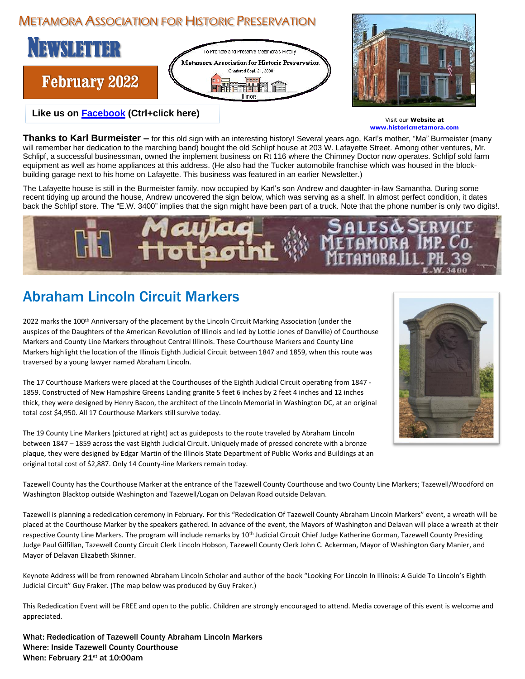## METAMORA ASSOCIATION FOR HISTORIC PRESERVATION





Visit our **Website at www.historicmetamora.com**

**Thanks to Karl Burmeister –** for this old sign with an interesting history! Several years ago, Karl's mother, "Ma" Burmeister (many will remember her dedication to the marching band) bought the old Schlipf house at 203 W. Lafayette Street. Among other ventures, Mr. Schlipf, a successful businessman, owned the implement business on Rt 116 where the Chimney Doctor now operates. Schlipf sold farm equipment as well as home appliances at this address. (He also had the Tucker automobile franchise which was housed in the blockbuilding garage next to his home on Lafayette. This business was featured in an earlier Newsletter.)

The Lafayette house is still in the Burmeister family, now occupied by Karl's son Andrew and daughter-in-law Samantha. During some recent tidying up around the house, Andrew uncovered the sign below, which was serving as a shelf. In almost perfect condition, it dates back the Schlipf store. The "E.W. 3400" implies that the sign might have been part of a truck. Note that the phone number is only two digits!.



## Abraham Lincoln Circuit Markers

2022 marks the 100<sup>th</sup> Anniversary of the placement by the Lincoln Circuit Marking Association (under the auspices of the Daughters of the American Revolution of Illinois and led by Lottie Jones of Danville) of Courthouse Markers and County Line Markers throughout Central Illinois. These Courthouse Markers and County Line Markers highlight the location of the Illinois Eighth Judicial Circuit between 1847 and 1859, when this route was traversed by a young lawyer named Abraham Lincoln.

The 17 Courthouse Markers were placed at the Courthouses of the Eighth Judicial Circuit operating from 1847 - 1859. Constructed of New Hampshire Greens Landing granite 5 feet 6 inches by 2 feet 4 inches and 12 inches thick, they were designed by Henry Bacon, the architect of the Lincoln Memorial in Washington DC, at an original total cost \$4,950. All 17 Courthouse Markers still survive today.

The 19 County Line Markers (pictured at right) act as guideposts to the route traveled by Abraham Lincoln between 1847 – 1859 across the vast Eighth Judicial Circuit. Uniquely made of pressed concrete with a bronze plaque, they were designed by Edgar Martin of the Illinois State Department of Public Works and Buildings at an original total cost of \$2,887. Only 14 County-line Markers remain today.



Tazewell County has the Courthouse Marker at the entrance of the Tazewell County Courthouse and two County Line Markers; Tazewell/Woodford on Washington Blacktop outside Washington and Tazewell/Logan on Delavan Road outside Delavan.

Tazewell is planning a rededication ceremony in February. For this "Rededication Of Tazewell County Abraham Lincoln Markers" event, a wreath will be placed at the Courthouse Marker by the speakers gathered. In advance of the event, the Mayors of Washington and Delavan will place a wreath at their respective County Line Markers. The program will include remarks by 10<sup>th</sup> Judicial Circuit Chief Judge Katherine Gorman, Tazewell County Presiding Judge Paul Gilfillan, Tazewell County Circuit Clerk Lincoln Hobson, Tazewell County Clerk John C. Ackerman, Mayor of Washington Gary Manier, and Mayor of Delavan Elizabeth Skinner.

Keynote Address will be from renowned Abraham Lincoln Scholar and author of the book "Looking For Lincoln In Illinois: A Guide To Lincoln's Eighth Judicial Circuit" Guy Fraker. (The map below was produced by Guy Fraker.)

This Rededication Event will be FREE and open to the public. Children are strongly encouraged to attend. Media coverage of this event is welcome and appreciated.

What: Rededication of Tazewell County Abraham Lincoln Markers Where: Inside Tazewell County Courthouse When: February 21st at 10:00am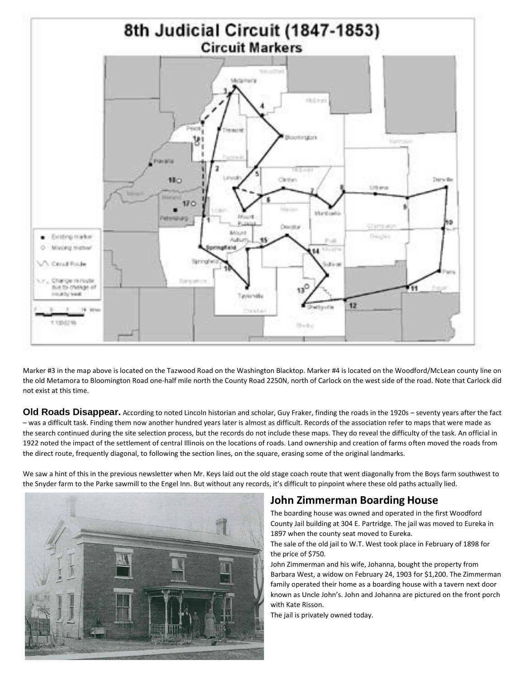

Marker #3 in the map above is located on the Tazwood Road on the Washington Blacktop. Marker #4 is located on the Woodford/McLean county line on the old Metamora to Bloomington Road one-half mile north the County Road 2250N, north of Carlock on the west side of the road. Note that Carlock did not exist at this time.

Old Roads Disappear. According to noted Lincoln historian and scholar, Guy Fraker, finding the roads in the 1920s – seventy years after the fact – was a difficult task. Finding them now another hundred years later is almost as difficult. Records of the association refer to maps that were made as the search continued during the site selection process, but the records do not include these maps. They do reveal the difficulty of the task. An official in 1922 noted the impact of the settlement of central Illinois on the locations of roads. Land ownership and creation of farms often moved the roads from the direct route, frequently diagonal, to following the section lines, on the square, erasing some of the original landmarks.

We saw a hint of this in the previous newsletter when Mr. Keys laid out the old stage coach route that went diagonally from the Boys farm southwest to the Snyder farm to the Parke sawmill to the Engel Inn. But without any records, it's difficult to pinpoint where these old paths actually lied.



## **John Zimmerman Boarding House**

The boarding house was owned and operated in the first Woodford County Jail building at 304 E. Partridge. The jail was moved to Eureka in 1897 when the county seat moved to Eureka.

The sale of the old jail to W.T. West took place in February of 1898 for the price of \$750.

John Zimmerman and his wife, Johanna, bought the property from Barbara West, a widow on February 24, 1903 for \$1,200. The Zimmerman family operated their home as a boarding house with a tavern next door known as Uncle John's. John and Johanna are pictured on the front porch with Kate Risson.

The jail is privately owned today.